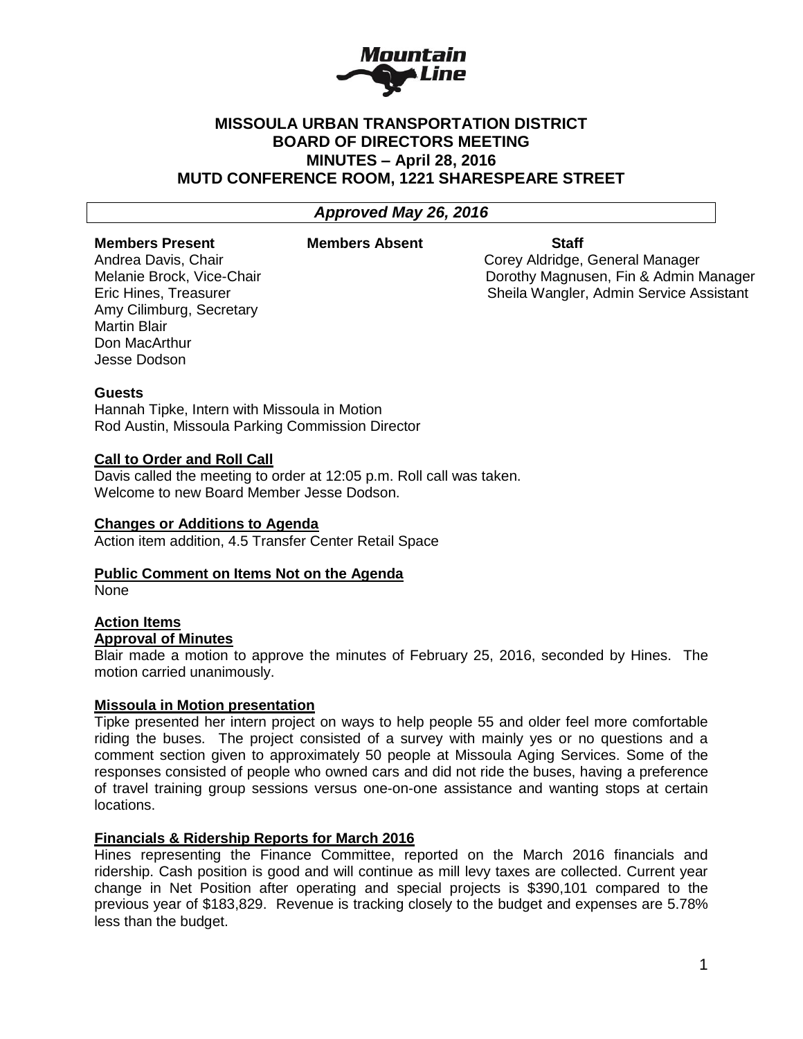

# **MISSOULA URBAN TRANSPORTATION DISTRICT BOARD OF DIRECTORS MEETING MINUTES – April 28, 2016 MUTD CONFERENCE ROOM, 1221 SHARESPEARE STREET**

## *Approved May 26, 2016*

#### **Members Present Members Absent Staff**

Amy Cilimburg, Secretary Martin Blair Don MacArthur Jesse Dodson

Andrea Davis, Chair Corey Aldridge, General Manager Melanie Brock, Vice-Chair Dorothy Magnusen, Fin & Admin Manager Eric Hines, Treasurer Sheila Wangler, Admin Service Assistant

## **Guests**

Hannah Tipke, Intern with Missoula in Motion Rod Austin, Missoula Parking Commission Director

## **Call to Order and Roll Call**

Davis called the meeting to order at 12:05 p.m. Roll call was taken. Welcome to new Board Member Jesse Dodson.

## **Changes or Additions to Agenda**

Action item addition, 4.5 Transfer Center Retail Space

## **Public Comment on Items Not on the Agenda**

None

## **Action Items Approval of Minutes**

Blair made a motion to approve the minutes of February 25, 2016, seconded by Hines. The motion carried unanimously.

## **Missoula in Motion presentation**

Tipke presented her intern project on ways to help people 55 and older feel more comfortable riding the buses. The project consisted of a survey with mainly yes or no questions and a comment section given to approximately 50 people at Missoula Aging Services. Some of the responses consisted of people who owned cars and did not ride the buses, having a preference of travel training group sessions versus one-on-one assistance and wanting stops at certain locations.

## **Financials & Ridership Reports for March 2016**

Hines representing the Finance Committee, reported on the March 2016 financials and ridership. Cash position is good and will continue as mill levy taxes are collected. Current year change in Net Position after operating and special projects is \$390,101 compared to the previous year of \$183,829. Revenue is tracking closely to the budget and expenses are 5.78% less than the budget.